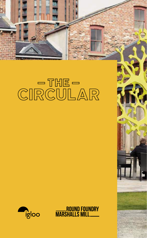



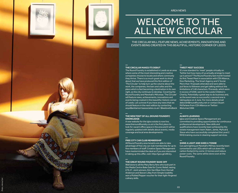# WELCOME TO T ALL new Circular

THE CIRCULAR WILL FEATURE NEWS, ACHIEVEMENTS, INNOVATIONS A EVENTS BEING CREATED IN THIS BEAUTIFUL, HISTORIC CORNER OF LE

**—**

#### **— The Cir cular makes i ts debu t**

The Round Foundry is established in Leeds as an area where some of the most interesting and creative companies choose to locate and where commonly they thrive. There is so much great work to shout about that we have produced this first edition of 'The Circular' to help turn up the volume about the work, the companies, the bars and cafes and the place which is fast becoming a destination in its own right, as the city continues to develop. Covering the Round Foundry and Marshall's Mill areas 'The Circular' will feature news, achievements, innovations and events being created in this beautiful, historic corner of Leeds. Let us know if you have any news that we should feature in the next edition by contacting anys@anitamorrisassociates.co.uk / @weloveholbeck

#### **The new fon t of all ( Round Foundry) knowledge**

**—**

**—**

*Photo. Johnny Carr*

A new website for the Igloo estate is now live. www.theroundfoundry.co.uk is the first place to look for vacant office space in the area and it will be regularly updated with details about events, media coverage and local area developments.

#### **—Free city car club membership**

All Round Foundry area tenants are able to take advantage of free city car club membership for up to five members of staff. Creative Space Management have masterminded the deal so if you are interested in taking up this offer, visit: http://goo.gl/xWn2y.

#### **The great Round Foundry Bake Off**

Well done to all the Mary Berry fans who took part in the Media Centre Bake Sale for Comic Relief, raising £79.27. Joint winners, Kim Van Elkan from Hornall Anderson and Steven Lilley from Simple Usability won a Pickled Pepper voucher for their light-fingered culinary skills.

#### **Twee Mee t success t**

It's now standard to 'meet' people virtually on Twitter but how many of us actually arrange to meet up in person? The Round Foundry last month hosted its first Tweet Meet in association with CDI Alliance, Doo Marketing, The Smart Agency and V Social. More than 70 people attended and were able to put faces to followers and get talking without the limitations of 140 characters. Proceeds, which were in excess of £200, went to the Leeds Children's Charity. Potentially a great way to do business and, as the event was so successful, a second one is taking place on 4 June. For more details email deborah@roundfoundry.net or contact Stuart McFarlane from CDI Alliance on Twitter: @stumac1066

## **—Always learning**

Igloo and Creative Space Management are committed to providing opportunities for continuous professional development. New skills and qualifications have recently been achieved by the estate management team Adam, Jamie, Myhcal & Steve who have successfully completed the Level 2 NVQ training course in cleaning support services.

### **—Shine a light and shed a tonne**

Car park lighting at Marshall's Mill has recently been converted to use LEDs which will cut down the carbon footprint by some 13 tonnes and reduce power costs. The same will be done soon at the Round Foundry.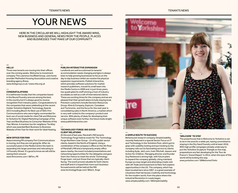# YOUR NEWS

HERE IN THE CIRCULAR WE WILL HIGHLIGHT THE AWARD WINS, NEW BUSINESS AND GENERAL NEWS FROM THE PEOPLE, PLACES AND BUSINESSES THAT MAKE UP OUR COMMUNITY

#### **— HELLO**

Three new tenants are moving into their offices over the coming weeks. Welcome to investment company The Lawrence Scoffield Group, care home provider Methodist Housing Association and creative branding agency Brave.

*www.thelsgroup.co.uk / www.mha.org.uk*

#### — **Congratulations**

It is well known locally that the companies based in the Round Foundry area are among the best in the country but it's always good to receive recognition from industry peers. Congratulations to the companies that were celebrating at the recent Insider Yorkshire Digital & Technology Awards 2013 including Bloom for Best use of SEO, Finn Communications who were highly commended for best use of social media for client Fab and Welcome to Yorkshire for Digital Marketing Campaign of the Year and Best Business to Consumer Website of the Year Winner. A mention too for neighbour TurnKey which was awarded Best Business to Business Website of the Year for their work for Ideal Heating.

#### — **New office for Finn**

Award winning PR company Finn Communications is moving, but they are not going far. After six successful years in the Media Centre the team is expanding into larger premises and relocating to 14 Foundry Street. It's good to know we will still be seeing them around.

*www.finncomms.com / @Finn\_PR* 

#### — **PUBLISH INTERACTIVE EXPANSION**

Landlords are well accustomed to tenants' accommodation needs changing and Igloo is always keen to help growing businesses to focus on the day to day business whilst we resolve the physical expansion requirements. Publish Interactive, which provides software solutions for market research publishers, moved its small team into the Media Centre in 2009 and, in just three years, has quadrupled its staff winning a host of industry accolades as well as a raft of international clients. These are exciting times for the company and we are pleased that their growth plans include staying local. Precision customers include Decision Resources Group, Kline & Company, Espicom, Canadean and Technomic, and the focus for the next year is consolidating sales in North America, a market which is very well-suited to the company's product and service. With plenty of ideas for developing their unique software even further, the future looks bright. *www.publishinteractive.com*

## **Technology Forge-ing good client relations**

At the end of last year, Marshall's Mill tenants Technology Forge held an event for The Technology Forge Northern User Group - 25 of its public sector clients, based in the North of England. Using a combination of the company's office on the 4th floor of Marshall's Mill and a temporarily empty office space nearby, the event included presentations and networking opportunities for the delegates and gave them the chance to meet the whole Technology Forge team, not just those that are typically clientfacing. The event proved valuable for both clients and staff and it is hoped that more such businessfocused events will be held at the Mill. *www.technologyforge.com/ @tech\_forge* 



### **A Simple route to success**

Behavioural research company SimpleUsability recently featured in a special Sector Focus on IT and Technology in the Yorkshire Post, which got to grips with usability testing and eye tracking as the company rolls out its fascinating service to clients including Asda, Jet2.com, Irwin Mitchell, Jewson and Action for Children. Managing director and founder Guy Redwood is aiming high, with future plans to expand the company globally, citing mainland Europe as a key target and attending a trade visit with UK Trade and Investment to New York explore opportunities in the US. The company, which has been located here since 2007, is a great example of a business that harnesses creativity and technology for the modern world, from the place where the Industrial Revolution in Leeds began. *www.simpleusability.com / @SimpleUsability* 

## **'Welcome' to stay**

The powerhouse that is Welcome to Yorkshire is set to be in the area for a while yet, having committed to staying in the Dry Sand Foundry until at least 2018. With high profile campaigns already underway to put the Yorkshire Sculpture Triangle on the map, preparations are fast developing for the Tour de France's 'Grand Depart' in 2014, when the eyes of the world will be looking this way. *www.yorkshire.com / @Welcome2Yorks* 

—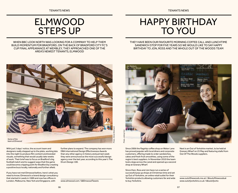## ELMWOOD STEPS UP

When BBC Look North was looking for a company to help them build momentum for Bradford, on the back of Bradford City FC's cup final appearance at Wembley, they approached one of the area's newest tenants, Elmwood

## Happy Birthday to you

They have been our favourite morning coffee call and lunchtime sandwich stop for five years so we would like to say Happy Birthday to Jon, Ross and the whole Out of the Woods team



With just 3 days' notice, the account team and designers really stepped up to the plate, working late into the night to produce film content and branded visuals, something that would usually take weeks of work. Their brief was to focus on Bradford's big football match and to suggest ways that the game could become a tipping point for Bradford by creating a positive buzz locally, nationally and further afield.

If you have not met Elmwood before, here's what you need to know; Elmwood is a brand design consultancy that started in Leeds in 1989 and now has offices in London, Melbourne, New York and Singapore, with

further plans to expand. The company has won more DBA International Design Effectiveness Awards than any other agency in history and just last week they were announced as the most successful design agency over the last year, according to this year's The Drum Design 100.

*www.elmwood.com / @ElmwoodTweets*



Since 2006 the flagship coffee shop on Water Lane has proved popular with local diners and corporate customers, offering made to order sandwiches, cakes and fresh fruit smoothies, using some of the region's best suppliers. In November 2010 the team took a leap across the canal and opened up a second shop at Granary Wharf.

Since then, Ross and Jon have run a series of successful pop up shops at Christmas time and set up Out of Yorkshire, an online retail outlet for their Yorkshire products allowing customers far and wide to buy Yorkshire.

Next is an Out of Yorkshire market, to be held at Granary Wharf on 25 May and featuring stalls from Out Of The Woods suppliers.

*www.outofthewoods.me.uk / @outofthewoodsuk www.outofyorkshire.co.uk / @outofyorks*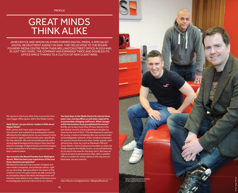PROFILE

## **GREAT MINDS** think alike

James Boyce and Simon Halkyard formed Digital Minds, a specialist digital recruitment agency in 2009. They relocated to the Round FOUNDRY MEDIA CENTRE FROM THEIR WELLINGTON STREET OFFICE IN 2010 AND in just two years, the company has expanded twice and doubled its office space thanks to a clutch of new client wins.

We spoke to them just after they moved into their new, bigger office space, still in the Media Centre.

#### *Hello Simon, can you tell our readers a little about Digital Minds?*

Both James and I have years of experience in recruitment and realised the growing jobs market afforded by the digital sector, so we created a niche recruitment agency which would cater specifically for this clientele. We only hire professionals with a strong digital background to ensure they have the latest knowledge of digital trends and technologies to help companies in the industry grow using the best creative talent.

#### *You moved to the Round Foundry from Wellington Street. What has been your experience of the area from a business perspective?*

We liked this area as it has a wealth of digital and new media companies, and potential clients, right on our doorstep. Being located in the heart of this creative corner of Leeds means we talk constantly to companies about the latest developments and industry news which in turn, helps us become more knowledgeable and look informed to our clients.

*You have been in the Media Centre for almost three years now, moving offices as and when required to accommodate changing staff levels. What changes within the business have precipitated the moves?* Briefly, we've won more than 30 new clients in the last twelve months and are planning to double our team by the end of 2013. This development is perfect for young, creative companies like ours and provides a knowledgeable network of like-minded companies. It's good to know there are other similar spaces, both old and new, close-by, such as Marshall's Mill and Tower Works, which could accommodate us when we finally outgrow the Media Centre, as we will definitely try to stay in the area for the long-term. We have no reason to want to be anywhere else; with a satellite office in London for those clients in the city and our base here, we are covered.

*http://flavors.me/digitalminds / @DigitalMindsLtd*

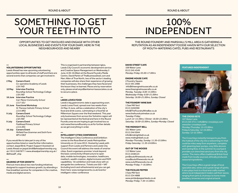## SOMETHING TO GET YOUR TEETH INTO

## OPPORTUNITIES TO GET INVOLVED AND ENGAGE WITH OTHER LOCAL BUSINESSES AND EVENTS FOR YOUR DIARY, HERE IN THE NEIGHBOURHOOD AND NEARBY

#### **— VOLUNTEERING OPPORTUNITIES**

Leeds Ahead has new upcoming volunteering opportunities open to all levels of staff and there are several events that companies can get involved in:

### 2 May Careers Event

*Co-operative Academy of Leeds LS9 7HD*

- 10 May Interview Practice *Roundhay School Technology College LS8 1ND*
- 18 June Interview Practice *Carr Manor Community School LS17 5DJ*
- 25 June Functional Workshop *St Theresa Catholic Primary School LS15 8RQ*
- 9 July Careers Event *Roundhay School Technology College LS8 1ND*
- 9 July Careers Event *Fieldhead Primary School LS14 2EG*
- 18 July Careers Event *Mirfield Free Grammar and Sixth Form WF14 9EZ*

If you would like to take part in any of the opportunities listed or need further information, contact Jaspal Birdi, Project Support Assistant at Leeds Ahead on jaspal.birdi@aheadpartnership.org. uk / 0113 2467877 / www.aheadpartnership.org.uk / @AheadP\_ship

#### **— GEARING UP FOR GROWTH**

Find out more about two new funding initiatives designed to support business growth, by attending a free breakfast seminar for companies in the creative, media and digital sectors.

This is organised in partnership between Igloo, Leeds City Council's economic development service and Creative Space Management on Wednesday 5 June, 8.30–10.00am at the Round Foundry Media Centre. David Parkin of TheBusinessDesk.com and Marc Allen of True North, two of the sector's leading companies will also share their experience of growing their businesses, the challenges they have faced and the lesson they've learned. Places are by reservation only, please email anys@anitamorrisassociates.co.uk to secure a place.

#### **— Leeds Loves Food**

Leeds's big gastronomic date is approaching soon. Leeds Loves Food, spread over two weeks from 24 May–9 June, will be a celebration of the city's food and drink scene, culminating in a food fair at Millennium Square over the final weekend. This year only businesses from across the Yorkshire region will be represented at the festival and here in the Round Foundry area we are hoping to get involved too so visit www.theroundfoundry.co.uk for further details as we get everything in order.

#### **— INTELLIGENT CITIES CONFERENCE**

The Intelligent Cities Conference and Exhibition comes to the Rose Bowl at Leeds Metropolitan University on 19 June 2013. Hosted by Leeds with support from Leeds and Partners and Leeds City Council the event will address the needs of smarter cities. Event organisers promise 'a look beyond the basic connectivity infrastructure to open data, mobile technologies, innovation, healthcare, medtech, wealth creation, digital inclusion and M2M capabilities.' An exhibition and trade show will run alongside the conference. Tickets are £50 + VAT (including lunch and refreshments) and you can get them here: www.nextgenevents.co.uk/events/ intelligent-cities-conference

## 100% Independent

The Round Foundry and Marshall's Mill area is gathering a reputation as an independent foodie haven with our selection of mouth-watering cafés, pubs and restaurants

## **David Street Cafe**

109 Water Lane 0113 245 4349 *Monday–Friday: 05.00–17.00hrs*

### **Engine House Cafe**

2 Foundry Square 0113 391 2980 info@theenginehousecafe.co.uk www.theenginehousecafe.co.uk *Monday, Tuesday: 8.00–15.00hrs Wednesday–Friday: 8.00–21.00hrs Saturday: 18.00–21.00hrs, Sunday: Closed*

### **The Foundry Wine Bar**

1 Saw Mill Yard 0113 2450390 Info@TheFoundryWineBar.co.uk www.thefoundrywinebar.co.uk *Tuesday–Friday: Lunch 12–14.30hrs / Dinner: 18.00–22.00hrs Saturday: 18.00–22.00hrs, Sunday–Monday: Closed*

### **The Midnight Bell**

101 Water Lane 0113 244 5044 info@midnightbell.co.uk www.midnightbell.co.uk *Monday–Thursday, Sunday: 11.30–23.00hrs Friday–Saturday: 11.30–24:00hrs*

### **Out Of The Woods**

113 Water Lane 0113 2448123 jon@outofthewoods.me.uk ross@outofthewoods.me.uk www.outofthewoods.me.uk *Monday–Friday: 7–16.00hrs*

### **The Pickled Pepper**

3 Saw Mill Yard 0113 234 4888 www.pickledpepperleeds.co.uk *Monday–Friday: 7.30–15.00hrs*





**The Cross Keys** 107 Water Lane 0113 243 3711 / info@the-crosskeys.com www.the-crosskeys.com Monday–Thursday: 12–23.00hrs Friday & Saturday: 12–24.00hrs Sunday: 12–22.30hrs

The Cross Keys instantly transports you from the hubbub of the city into a welcoming inn that could be miles away from anywhere, complete with gleaming beer pumps, cosy little alcoves and roaring fires. In the summer its courtyard provides sun drenched sanctuary from the city centre. The menu offers traditional British food made from locally sourced, ethically produced, seasonal ingredients.

The Cross Keys offers a great range of local specialist ales, wines and a great range of spirits. It also plays host to a food and crafts market where local independent traders sell their wares; ranging from jams & chutneys to home made jewellery, brownies and original artwork.